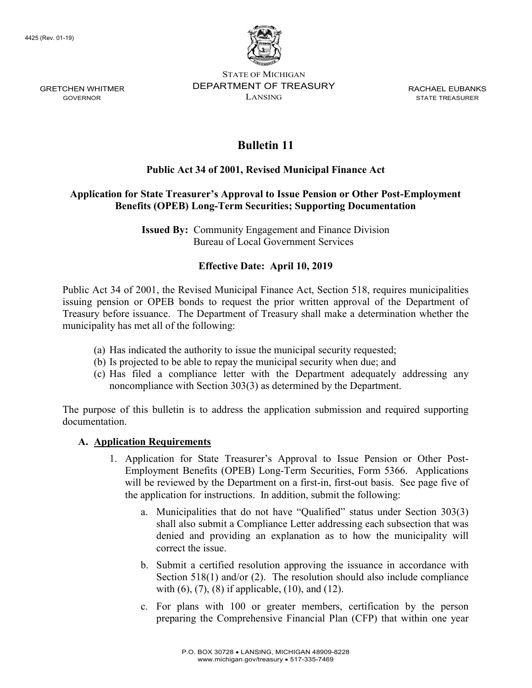

GOVERNOR STATE OF MICHIGAN DEPARTMENT OF TREASURY LANSING STATE TREASURER

RACHAEL EUBANKS

# Bulletin 11

## Public Act 34 of 2001, Revised Municipal Finance Act

### Application for State Treasurer's Approval to Issue Pension or Other Post-Employment Benefits (OPEB) Long-Term Securities; Supporting Documentation

Issued By: Community Engagement and Finance Division Bureau of Local Government Services

## Effective Date: April 10, 2019

Public Act 34 of 2001, the Revised Municipal Finance Act, Section 518, requires municipalities issuing pension or OPEB bonds to request the prior written approval of the Department of Treasury before issuance. The Department of Treasury shall make a determination whether the municipality has met all of the following:

- (a) Has indicated the authority to issue the municipal security requested;
- (b) Is projected to be able to repay the municipal security when due; and
- (c) Has filed a compliance letter with the Department adequately addressing any noncompliance with Section 303(3) as determined by the Department.

The purpose of this bulletin is to address the application submission and required supporting documentation.

#### A. Application Requirements

- 1. Application for State Treasurer's Approval to Issue Pension or Other Post-Employment Benefits (OPEB) Long-Term Securities, Form 5366. Applications will be reviewed by the Department on a first-in, first-out basis. See page five of the application for instructions. In addition, submit the following:
	- a. Municipalities that do not have "Qualified" status under Section 303(3) shall also submit a Compliance Letter addressing each subsection that was denied and providing an explanation as to how the municipality will correct the issue.
	- b. Submit a certified resolution approving the issuance in accordance with Section 518(1) and/or (2). The resolution should also include compliance with  $(6)$ ,  $(7)$ ,  $(8)$  if applicable,  $(10)$ , and  $(12)$ .
	- c. For plans with 100 or greater members, certification by the person preparing the Comprehensive Financial Plan (CFP) that within one year

GRETCHEN WHITMER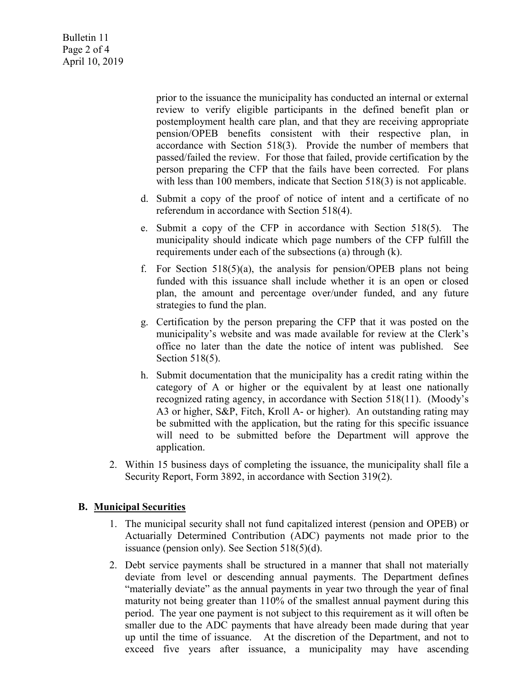Bulletin 11 Page 2 of 4 April 10, 2019

> prior to the issuance the municipality has conducted an internal or external review to verify eligible participants in the defined benefit plan or postemployment health care plan, and that they are receiving appropriate pension/OPEB benefits consistent with their respective plan, in accordance with Section 518(3). Provide the number of members that passed/failed the review. For those that failed, provide certification by the person preparing the CFP that the fails have been corrected. For plans with less than 100 members, indicate that Section 518(3) is not applicable.

- d. Submit a copy of the proof of notice of intent and a certificate of no referendum in accordance with Section 518(4).
- e. Submit a copy of the CFP in accordance with Section 518(5). The municipality should indicate which page numbers of the CFP fulfill the requirements under each of the subsections (a) through (k).
- f. For Section  $518(5)(a)$ , the analysis for pension/OPEB plans not being funded with this issuance shall include whether it is an open or closed plan, the amount and percentage over/under funded, and any future strategies to fund the plan.
- g. Certification by the person preparing the CFP that it was posted on the municipality's website and was made available for review at the Clerk's office no later than the date the notice of intent was published. See Section 518(5).
- h. Submit documentation that the municipality has a credit rating within the category of A or higher or the equivalent by at least one nationally recognized rating agency, in accordance with Section 518(11). (Moody's A3 or higher, S&P, Fitch, Kroll A- or higher). An outstanding rating may be submitted with the application, but the rating for this specific issuance will need to be submitted before the Department will approve the application.
- 2. Within 15 business days of completing the issuance, the municipality shall file a Security Report, Form 3892, in accordance with Section 319(2).

#### B. Municipal Securities

- 1. The municipal security shall not fund capitalized interest (pension and OPEB) or Actuarially Determined Contribution (ADC) payments not made prior to the issuance (pension only). See Section 518(5)(d).
- 2. Debt service payments shall be structured in a manner that shall not materially deviate from level or descending annual payments. The Department defines "materially deviate" as the annual payments in year two through the year of final maturity not being greater than 110% of the smallest annual payment during this period. The year one payment is not subject to this requirement as it will often be smaller due to the ADC payments that have already been made during that year up until the time of issuance. At the discretion of the Department, and not to exceed five years after issuance, a municipality may have ascending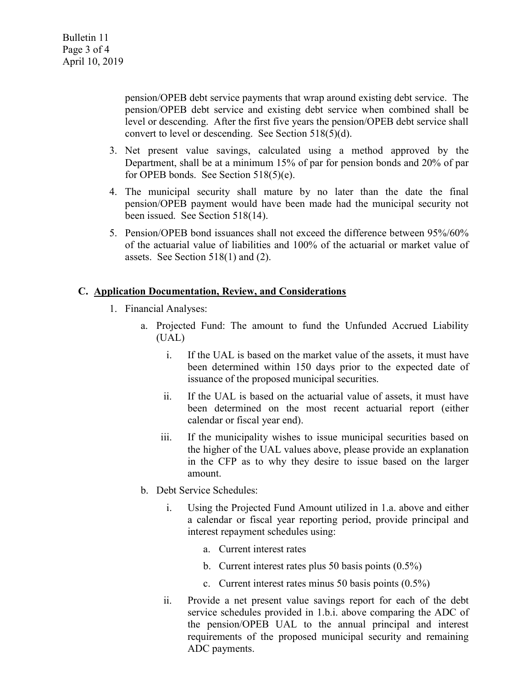pension/OPEB debt service payments that wrap around existing debt service. The pension/OPEB debt service and existing debt service when combined shall be level or descending. After the first five years the pension/OPEB debt service shall convert to level or descending. See Section 518(5)(d).

- 3. Net present value savings, calculated using a method approved by the Department, shall be at a minimum 15% of par for pension bonds and 20% of par for OPEB bonds. See Section 518(5)(e).
- 4. The municipal security shall mature by no later than the date the final pension/OPEB payment would have been made had the municipal security not been issued. See Section 518(14).
- 5. Pension/OPEB bond issuances shall not exceed the difference between 95%/60% of the actuarial value of liabilities and 100% of the actuarial or market value of assets. See Section 518(1) and (2).

#### C. Application Documentation, Review, and Considerations

- 1. Financial Analyses:
	- a. Projected Fund: The amount to fund the Unfunded Accrued Liability (UAL)
		- i. If the UAL is based on the market value of the assets, it must have been determined within 150 days prior to the expected date of issuance of the proposed municipal securities.
		- ii. If the UAL is based on the actuarial value of assets, it must have been determined on the most recent actuarial report (either calendar or fiscal year end).
		- iii. If the municipality wishes to issue municipal securities based on the higher of the UAL values above, please provide an explanation in the CFP as to why they desire to issue based on the larger amount.
	- b. Debt Service Schedules:
		- i. Using the Projected Fund Amount utilized in 1.a. above and either a calendar or fiscal year reporting period, provide principal and interest repayment schedules using:
			- a. Current interest rates
			- b. Current interest rates plus 50 basis points (0.5%)
			- c. Current interest rates minus 50 basis points (0.5%)
		- ii. Provide a net present value savings report for each of the debt service schedules provided in 1.b.i. above comparing the ADC of the pension/OPEB UAL to the annual principal and interest requirements of the proposed municipal security and remaining ADC payments.